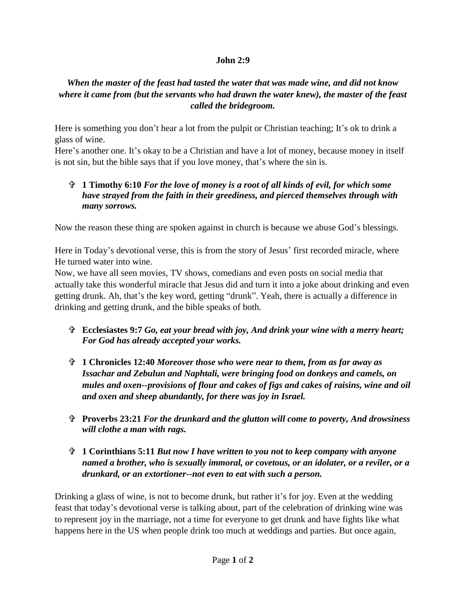## **John 2:9**

## *When the master of the feast had tasted the water that was made wine, and did not know where it came from (but the servants who had drawn the water knew), the master of the feast called the bridegroom.*

Here is something you don't hear a lot from the pulpit or Christian teaching; It's ok to drink a glass of wine.

Here's another one. It's okay to be a Christian and have a lot of money, because money in itself is not sin, but the bible says that if you love money, that's where the sin is.

## **1 Timothy 6:10** *For the love of money is a root of all kinds of evil, for which some have strayed from the faith in their greediness, and pierced themselves through with many sorrows.*

Now the reason these thing are spoken against in church is because we abuse God's blessings.

Here in Today's devotional verse, this is from the story of Jesus' first recorded miracle, where He turned water into wine.

Now, we have all seen movies, TV shows, comedians and even posts on social media that actually take this wonderful miracle that Jesus did and turn it into a joke about drinking and even getting drunk. Ah, that's the key word, getting "drunk". Yeah, there is actually a difference in drinking and getting drunk, and the bible speaks of both.

- **Ecclesiastes 9:7** *Go, eat your bread with joy, And drink your wine with a merry heart; For God has already accepted your works.*
- **1 Chronicles 12:40** *Moreover those who were near to them, from as far away as Issachar and Zebulun and Naphtali, were bringing food on donkeys and camels, on mules and oxen--provisions of flour and cakes of figs and cakes of raisins, wine and oil and oxen and sheep abundantly, for there was joy in Israel.*
- **Proverbs 23:21** *For the drunkard and the glutton will come to poverty, And drowsiness will clothe a man with rags.*
- **1 Corinthians 5:11** *But now I have written to you not to keep company with anyone named a brother, who is sexually immoral, or covetous, or an idolater, or a reviler, or a drunkard, or an extortioner--not even to eat with such a person.*

Drinking a glass of wine, is not to become drunk, but rather it's for joy. Even at the wedding feast that today's devotional verse is talking about, part of the celebration of drinking wine was to represent joy in the marriage, not a time for everyone to get drunk and have fights like what happens here in the US when people drink too much at weddings and parties. But once again,